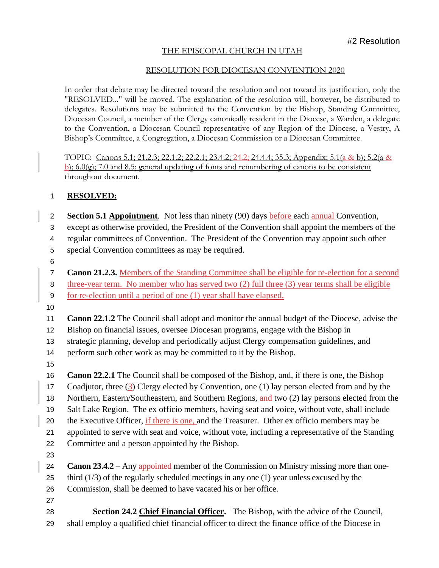## THE EPISCOPAL CHURCH IN UTAH

## RESOLUTION FOR DIOCESAN CONVENTION 2020

In order that debate may be directed toward the resolution and not toward its justification, only the "RESOLVED..." will be moved. The explanation of the resolution will, however, be distributed to delegates. Resolutions may be submitted to the Convention by the Bishop, Standing Committee, Diocesan Council, a member of the Clergy canonically resident in the Diocese, a Warden, a delegate to the Convention, a Diocesan Council representative of any Region of the Diocese, a Vestry, A Bishop's Committee, a Congregation, a Diocesan Commission or a Diocesan Committee.

TOPIC: Canons 5.1; 21.2.3; 22.1.2; 22.2.1; 23.4.2; 24.2; 24.4.4; 35.3; Appendix; 5.1(a & b); 5.2(a & b);  $6.0(q)$ ;  $7.0$  and  $8.5$ ; general updating of fonts and renumbering of canons to be consistent throughout document.

## **RESOLVED:**

 **Section 5.1 Appointment**. Not less than ninety (90) days before each annual Convention, except as otherwise provided, the President of the Convention shall appoint the members of the regular committees of Convention. The President of the Convention may appoint such other special Convention committees as may be required.

 **Canon 21.2.3.** Members of the Standing Committee shall be eligible for re-election for a second three-year term. No member who has served two (2) full three (3) year terms shall be eligible for re-election until a period of one (1) year shall have elapsed.

**Canon 22.1.2** The Council shall adopt and monitor the annual budget of the Diocese, advise the

Bishop on financial issues, oversee Diocesan programs, engage with the Bishop in

strategic planning, develop and periodically adjust Clergy compensation guidelines, and

14 perform such other work as may be committed to it by the Bishop.

**Canon 22.2.1** The Council shall be composed of the Bishop, and, if there is one, the Bishop

17 Coadjutor, three (3) Clergy elected by Convention, one (1) lay person elected from and by the

 Northern, Eastern/Southeastern, and Southern Regions, and two (2) lay persons elected from the Salt Lake Region. The ex officio members, having seat and voice, without vote, shall include

the Executive Officer, if there is one, and the Treasurer. Other ex officio members may be

appointed to serve with seat and voice, without vote, including a representative of the Standing

- Committee and a person appointed by the Bishop.
- 

 **Canon 23.4.2** – Any appointed member of the Commission on Ministry missing more than one- third (1/3) of the regularly scheduled meetings in any one (1) year unless excused by the Commission, shall be deemed to have vacated his or her office.

 **Section 24.2 Chief Financial Officer.** The Bishop, with the advice of the Council, shall employ a qualified chief financial officer to direct the finance office of the Diocese in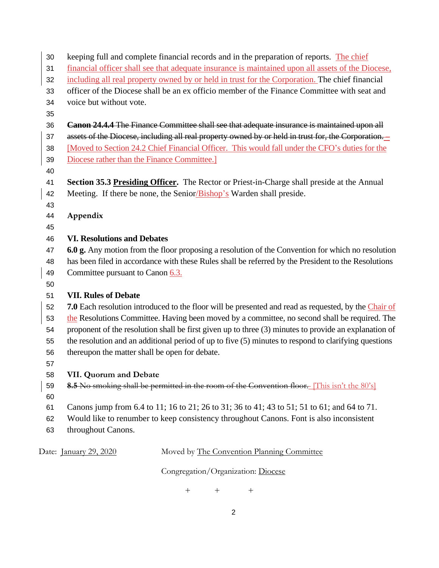| 30 | keeping full and complete financial records and in the preparation of reports. The chief              |
|----|-------------------------------------------------------------------------------------------------------|
| 31 | financial officer shall see that adequate insurance is maintained upon all assets of the Diocese,     |
| 32 | including all real property owned by or held in trust for the Corporation. The chief financial        |
| 33 | officer of the Diocese shall be an ex officio member of the Finance Committee with seat and           |
| 34 | voice but without vote.                                                                               |
| 35 |                                                                                                       |
| 36 | <b>Canon 24.4.4 The Finance Committee shall see that adequate insurance is maintained upon all</b>    |
| 37 | assets of the Diocese, including all real property owned by or held in trust for, the Corporation.    |
| 38 | [Moved to Section 24.2 Chief Financial Officer. This would fall under the CFO's duties for the        |
| 39 | Diocese rather than the Finance Committee.                                                            |
| 40 |                                                                                                       |
| 41 | Section 35.3 Presiding Officer. The Rector or Priest-in-Charge shall preside at the Annual            |
| 42 | Meeting. If there be none, the Senior/Bishop's Warden shall preside.                                  |
| 43 |                                                                                                       |
| 44 | Appendix                                                                                              |
| 45 |                                                                                                       |
| 46 | <b>VI. Resolutions and Debates</b>                                                                    |
| 47 | 6.0 g. Any motion from the floor proposing a resolution of the Convention for which no resolution     |
| 48 | has been filed in accordance with these Rules shall be referred by the President to the Resolutions   |
| 49 | Committee pursuant to Canon 6.3.                                                                      |
| 50 |                                                                                                       |
| 51 | <b>VII. Rules of Debate</b>                                                                           |
| 52 | 7.0 Each resolution introduced to the floor will be presented and read as requested, by the Chair of  |
| 53 | the Resolutions Committee. Having been moved by a committee, no second shall be required. The         |
| 54 | proponent of the resolution shall be first given up to three (3) minutes to provide an explanation of |
| 55 | the resolution and an additional period of up to five (5) minutes to respond to clarifying questions  |
| 56 | thereupon the matter shall be open for debate.                                                        |
| 57 |                                                                                                       |
| 58 | VII. Quorum and Debate                                                                                |
| 59 | 8.5 No smoking shall be permitted in the room of the Convention floor. [This isn't the 80's]          |
| 60 |                                                                                                       |
| 61 | Canons jump from 6.4 to 11; 16 to 21; 26 to 31; 36 to 41; 43 to 51; 51 to 61; and 64 to 71.           |
| 62 | Would like to renumber to keep consistency throughout Canons. Font is also inconsistent               |
| 63 | throughout Canons.                                                                                    |
|    | Moved by The Convention Planning Committee<br>Date: <u>January 29, 2020</u>                           |

Congregation/Organization: Diocese

+ + +